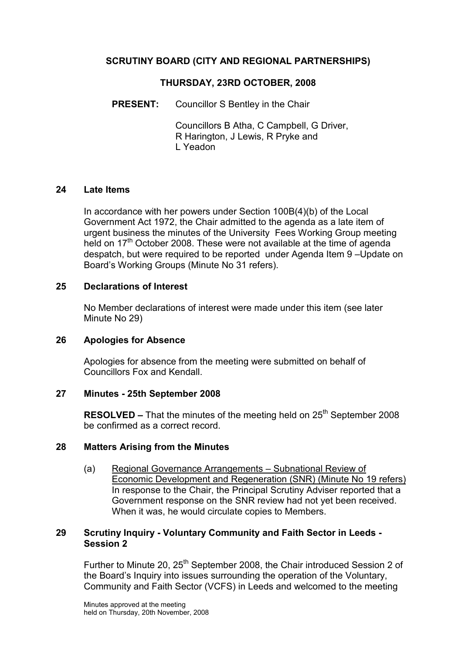## SCRUTINY BOARD (CITY AND REGIONAL PARTNERSHIPS)

### THURSDAY, 23RD OCTOBER, 2008

PRESENT: Councillor S Bentley in the Chair

 Councillors B Atha, C Campbell, G Driver, R Harington, J Lewis, R Pryke and L Yeadon

#### 24 Late Items

In accordance with her powers under Section 100B(4)(b) of the Local Government Act 1972, the Chair admitted to the agenda as a late item of urgent business the minutes of the University Fees Working Group meeting held on 17<sup>th</sup> October 2008. These were not available at the time of agenda despatch, but were required to be reported under Agenda Item 9 –Update on Board's Working Groups (Minute No 31 refers).

## 25 Declarations of Interest

No Member declarations of interest were made under this item (see later Minute No 29)

#### 26 Apologies for Absence

Apologies for absence from the meeting were submitted on behalf of Councillors Fox and Kendall.

#### 27 Minutes - 25th September 2008

**RESOLVED –** That the minutes of the meeting held on  $25<sup>th</sup>$  September 2008 be confirmed as a correct record.

#### 28 Matters Arising from the Minutes

(a) Regional Governance Arrangements – Subnational Review of Economic Development and Regeneration (SNR) (Minute No 19 refers) In response to the Chair, the Principal Scrutiny Adviser reported that a Government response on the SNR review had not yet been received. When it was, he would circulate copies to Members.

#### 29 Scrutiny Inquiry - Voluntary Community and Faith Sector in Leeds - Session 2

Further to Minute 20, 25<sup>th</sup> September 2008, the Chair introduced Session 2 of the Board's Inquiry into issues surrounding the operation of the Voluntary, Community and Faith Sector (VCFS) in Leeds and welcomed to the meeting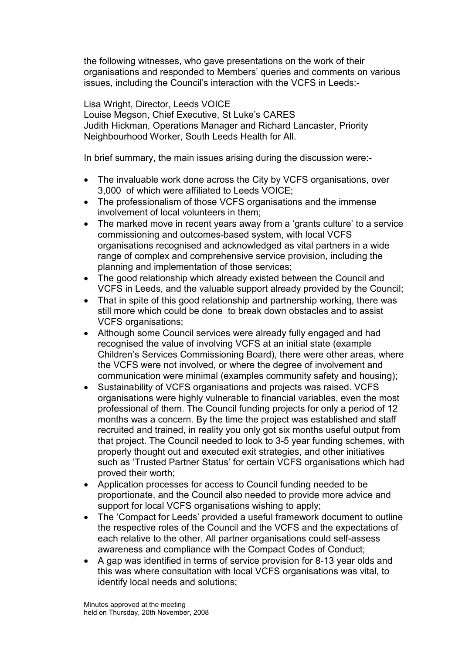the following witnesses, who gave presentations on the work of their organisations and responded to Members' queries and comments on various issues, including the Council's interaction with the VCFS in Leeds:-

Lisa Wright, Director, Leeds VOICE Louise Megson, Chief Executive, St Luke's CARES Judith Hickman, Operations Manager and Richard Lancaster, Priority Neighbourhood Worker, South Leeds Health for All.

In brief summary, the main issues arising during the discussion were:-

- The invaluable work done across the City by VCFS organisations, over 3,000 of which were affiliated to Leeds VOICE;
- The professionalism of those VCFS organisations and the immense involvement of local volunteers in them;
- The marked move in recent years away from a 'grants culture' to a service commissioning and outcomes-based system, with local VCFS organisations recognised and acknowledged as vital partners in a wide range of complex and comprehensive service provision, including the planning and implementation of those services;
- The good relationship which already existed between the Council and VCFS in Leeds, and the valuable support already provided by the Council;
- That in spite of this good relationship and partnership working, there was still more which could be done to break down obstacles and to assist VCFS organisations;
- Although some Council services were already fully engaged and had recognised the value of involving VCFS at an initial state (example Children's Services Commissioning Board), there were other areas, where the VCFS were not involved, or where the degree of involvement and communication were minimal (examples community safety and housing);
- Sustainability of VCFS organisations and projects was raised. VCFS organisations were highly vulnerable to financial variables, even the most professional of them. The Council funding projects for only a period of 12 months was a concern. By the time the project was established and staff recruited and trained, in reality you only got six months useful output from that project. The Council needed to look to 3-5 year funding schemes, with properly thought out and executed exit strategies, and other initiatives such as 'Trusted Partner Status' for certain VCFS organisations which had proved their worth;
- Application processes for access to Council funding needed to be proportionate, and the Council also needed to provide more advice and support for local VCFS organisations wishing to apply;
- The 'Compact for Leeds' provided a useful framework document to outline the respective roles of the Council and the VCFS and the expectations of each relative to the other. All partner organisations could self-assess awareness and compliance with the Compact Codes of Conduct;
- A gap was identified in terms of service provision for 8-13 year olds and this was where consultation with local VCFS organisations was vital, to identify local needs and solutions;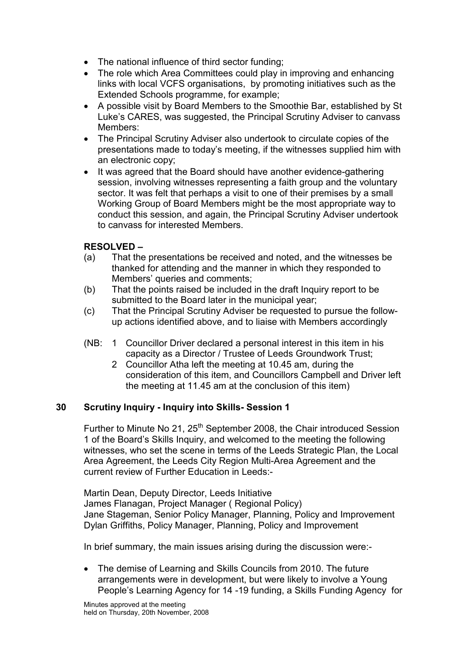- The national influence of third sector funding;
- The role which Area Committees could play in improving and enhancing links with local VCFS organisations, by promoting initiatives such as the Extended Schools programme, for example;
- A possible visit by Board Members to the Smoothie Bar, established by St Luke's CARES, was suggested, the Principal Scrutiny Adviser to canvass Members:
- The Principal Scrutiny Adviser also undertook to circulate copies of the presentations made to today's meeting, if the witnesses supplied him with an electronic copy;
- It was agreed that the Board should have another evidence-gathering session, involving witnesses representing a faith group and the voluntary sector. It was felt that perhaps a visit to one of their premises by a small Working Group of Board Members might be the most appropriate way to conduct this session, and again, the Principal Scrutiny Adviser undertook to canvass for interested Members.

## RESOLVED –

- (a) That the presentations be received and noted, and the witnesses be thanked for attending and the manner in which they responded to Members' queries and comments;
- (b) That the points raised be included in the draft Inquiry report to be submitted to the Board later in the municipal year;
- (c) That the Principal Scrutiny Adviser be requested to pursue the followup actions identified above, and to liaise with Members accordingly
- (NB: 1 Councillor Driver declared a personal interest in this item in his capacity as a Director / Trustee of Leeds Groundwork Trust;
	- 2 Councillor Atha left the meeting at 10.45 am, during the consideration of this item, and Councillors Campbell and Driver left the meeting at 11.45 am at the conclusion of this item)

#### 30 Scrutiny Inquiry - Inquiry into Skills- Session 1

Further to Minute No 21, 25<sup>th</sup> September 2008, the Chair introduced Session 1 of the Board's Skills Inquiry, and welcomed to the meeting the following witnesses, who set the scene in terms of the Leeds Strategic Plan, the Local Area Agreement, the Leeds City Region Multi-Area Agreement and the current review of Further Education in Leeds:-

Martin Dean, Deputy Director, Leeds Initiative James Flanagan, Project Manager ( Regional Policy) Jane Stageman, Senior Policy Manager, Planning, Policy and Improvement Dylan Griffiths, Policy Manager, Planning, Policy and Improvement

In brief summary, the main issues arising during the discussion were:-

• The demise of Learning and Skills Councils from 2010. The future arrangements were in development, but were likely to involve a Young People's Learning Agency for 14 -19 funding, a Skills Funding Agency for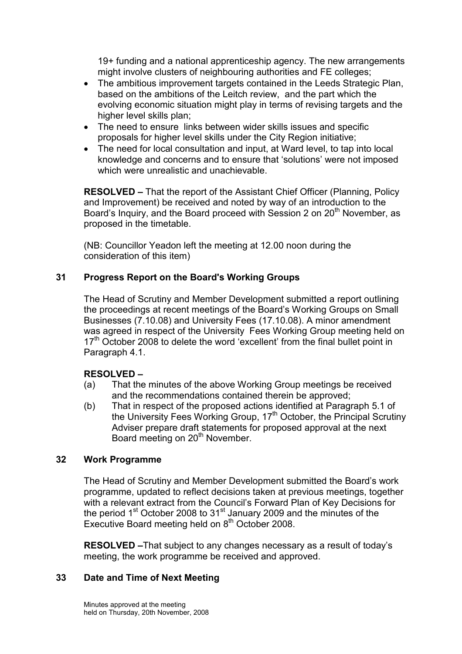19+ funding and a national apprenticeship agency. The new arrangements might involve clusters of neighbouring authorities and FE colleges;

- The ambitious improvement targets contained in the Leeds Strategic Plan, based on the ambitions of the Leitch review, and the part which the evolving economic situation might play in terms of revising targets and the higher level skills plan;
- The need to ensure links between wider skills issues and specific proposals for higher level skills under the City Region initiative;
- The need for local consultation and input, at Ward level, to tap into local knowledge and concerns and to ensure that 'solutions' were not imposed which were unrealistic and unachievable.

RESOLVED – That the report of the Assistant Chief Officer (Planning, Policy and Improvement) be received and noted by way of an introduction to the Board's Inquiry, and the Board proceed with Session 2 on 20<sup>th</sup> November, as proposed in the timetable.

(NB: Councillor Yeadon left the meeting at 12.00 noon during the consideration of this item)

# 31 Progress Report on the Board's Working Groups

The Head of Scrutiny and Member Development submitted a report outlining the proceedings at recent meetings of the Board's Working Groups on Small Businesses (7.10.08) and University Fees (17.10.08). A minor amendment was agreed in respect of the University Fees Working Group meeting held on  $17<sup>th</sup>$  October 2008 to delete the word 'excellent' from the final bullet point in Paragraph 4.1.

# RESOLVED –

- (a) That the minutes of the above Working Group meetings be received and the recommendations contained therein be approved;
- (b) That in respect of the proposed actions identified at Paragraph 5.1 of the University Fees Working Group, 17<sup>th</sup> October, the Principal Scrutiny Adviser prepare draft statements for proposed approval at the next Board meeting on 20<sup>th</sup> November.

# 32 Work Programme

The Head of Scrutiny and Member Development submitted the Board's work programme, updated to reflect decisions taken at previous meetings, together with a relevant extract from the Council's Forward Plan of Key Decisions for the period 1<sup>st</sup> October 2008 to 31<sup>st</sup> January 2009 and the minutes of the Executive Board meeting held on  $8<sup>th</sup>$  October 2008.

RESOLVED –That subject to any changes necessary as a result of today's meeting, the work programme be received and approved.

#### 33 Date and Time of Next Meeting